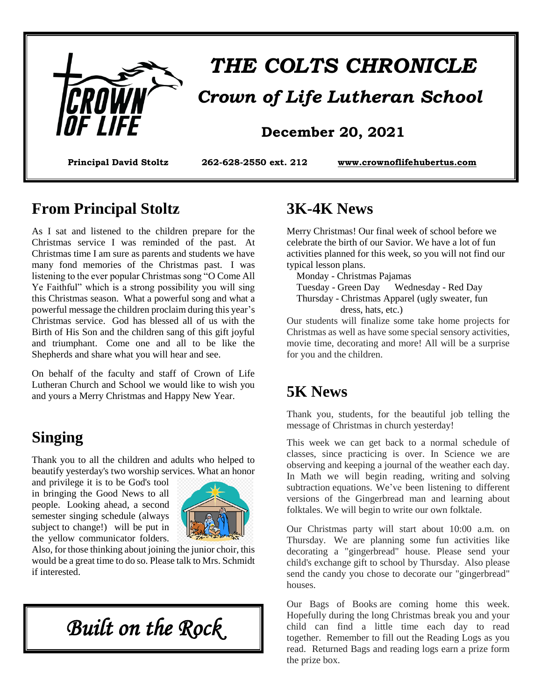

# *THE COLTS CHRONICLE*

 *Crown of Life Lutheran School*

**Principal David Stoltz 262-628-2550 ext. 212 www.crownoflifehubertus.com**

#### **From Principal Stoltz**

As I sat and listened to the children prepare for the Christmas service I was reminded of the past. At Christmas time I am sure as parents and students we have many fond memories of the Christmas past. I was listening to the ever popular Christmas song "O Come All Ye Faithful" which is a strong possibility you will sing this Christmas season. What a powerful song and what a powerful message the children proclaim during this year's Christmas service. God has blessed all of us with the Birth of His Son and the children sang of this gift joyful and triumphant. Come one and all to be like the Shepherds and share what you will hear and see.

On behalf of the faculty and staff of Crown of Life Lutheran Church and School we would like to wish you and yours a Merry Christmas and Happy New Year.

# **Singing**

Thank you to all the children and adults who helped to beautify yesterday's two worship services. What an honor

and privilege it is to be God's tool in bringing the Good News to all people. Looking ahead, a second semester singing schedule (always subject to change!) will be put in the yellow communicator folders.



Also, for those thinking about joining the junior choir, this would be a great time to do so. Please talk to Mrs. Schmidt if interested.

*Built on the Rock* 

#### **3K-4K News**

Merry Christmas! Our final week of school before we celebrate the birth of our Savior. We have a lot of fun activities planned for this week, so you will not find our typical lesson plans.

Monday - Christmas Pajamas

 Tuesday - Green Day Wednesday - Red Day Thursday - Christmas Apparel (ugly sweater, fun dress, hats, etc.)

Our students will finalize some take home projects for Christmas as well as have some special sensory activities, movie time, decorating and more! All will be a surprise for you and the children.

#### **5K News**

Thank you, students, for the beautiful job telling the message of Christmas in church yesterday!

This week we can get back to a normal schedule of classes, since practicing is over. In Science we are observing and keeping a journal of the weather each day. In Math we will begin reading, writing and solving subtraction equations. We've been listening to different versions of the Gingerbread man and learning about folktales. We will begin to write our own folktale.

Our Christmas party will start about 10:00 a.m. on Thursday. We are planning some fun activities like decorating a "gingerbread" house. Please send your child's exchange gift to school by Thursday. Also please send the candy you chose to decorate our "gingerbread" houses.

Our Bags of Books are coming home this week. Hopefully during the long Christmas break you and your child can find a little time each day to read together. Remember to fill out the Reading Logs as you read. Returned Bags and reading logs earn a prize form the prize box.